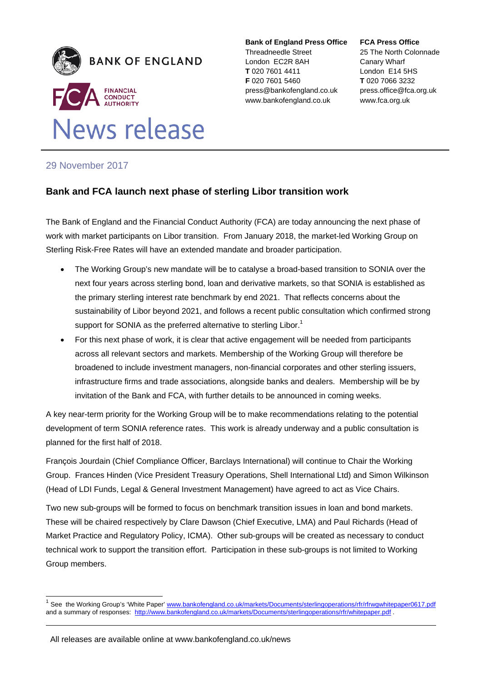

#### **Bank of England Press Office**

Threadneedle Street London EC2R 8AH **T** 020 7601 4411 **F** 020 7601 5460 press@bankofengland.co.uk www.bankofengland.co.uk

#### **FCA Press Office**

25 The North Colonnade Canary Wharf London E14 5HS **T** 020 7066 3232 press.office@fca.org.uk www.fca.org.uk

# 29 November 2017

l

## **Bank and FCA launch next phase of sterling Libor transition work**

The Bank of England and the Financial Conduct Authority (FCA) are today announcing the next phase of work with market participants on Libor transition. From January 2018, the market-led Working Group on Sterling Risk-Free Rates will have an extended mandate and broader participation.

- The Working Group's new mandate will be to catalyse a broad-based transition to SONIA over the next four years across sterling bond, loan and derivative markets, so that SONIA is established as the primary sterling interest rate benchmark by end 2021. That reflects concerns about the sustainability of Libor beyond 2021, and follows a recent public consultation which confirmed strong support for SONIA as the preferred alternative to sterling Libor.<sup>1</sup>
- For this next phase of work, it is clear that active engagement will be needed from participants across all relevant sectors and markets. Membership of the Working Group will therefore be broadened to include investment managers, non-financial corporates and other sterling issuers, infrastructure firms and trade associations, alongside banks and dealers. Membership will be by invitation of the Bank and FCA, with further details to be announced in coming weeks.

A key near-term priority for the Working Group will be to make recommendations relating to the potential development of term SONIA reference rates. This work is already underway and a public consultation is planned for the first half of 2018.

François Jourdain (Chief Compliance Officer, Barclays International) will continue to Chair the Working Group. Frances Hinden (Vice President Treasury Operations, Shell International Ltd) and Simon Wilkinson (Head of LDI Funds, Legal & General Investment Management) have agreed to act as Vice Chairs.

Two new sub-groups will be formed to focus on benchmark transition issues in loan and bond markets. These will be chaired respectively by Clare Dawson (Chief Executive, LMA) and Paul Richards (Head of Market Practice and Regulatory Policy, ICMA). Other sub-groups will be created as necessary to conduct technical work to support the transition effort. Participation in these sub-groups is not limited to Working Group members.

See the Working Group's 'White Paper' www.bankofengland.co.uk/markets/Documents/sterlingoperations/rfr/rfrwgwhitepaper0617.pdf and a summary of responses: http://www.bankofengland.co.uk/markets/Documents/sterlingoperations/rfr/whitepaper.pdf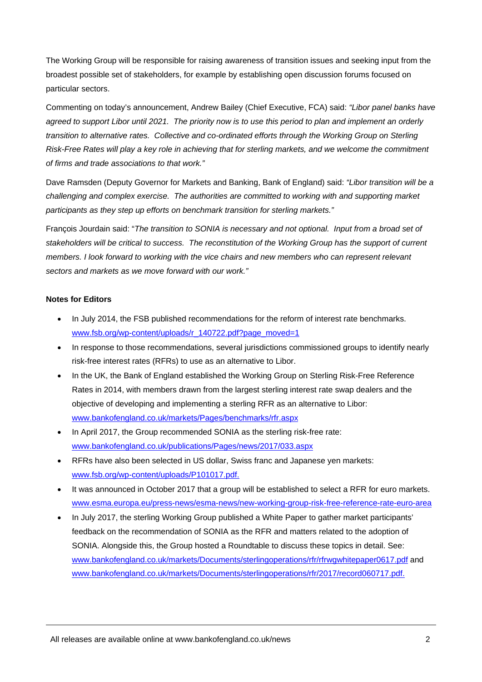The Working Group will be responsible for raising awareness of transition issues and seeking input from the broadest possible set of stakeholders, for example by establishing open discussion forums focused on particular sectors.

Commenting on today's announcement, Andrew Bailey (Chief Executive, FCA) said: *"Libor panel banks have agreed to support Libor until 2021. The priority now is to use this period to plan and implement an orderly transition to alternative rates. Collective and co-ordinated efforts through the Working Group on Sterling Risk-Free Rates will play a key role in achieving that for sterling markets, and we welcome the commitment of firms and trade associations to that work."*

Dave Ramsden (Deputy Governor for Markets and Banking, Bank of England) said: *"Libor transition will be a challenging and complex exercise. The authorities are committed to working with and supporting market participants as they step up efforts on benchmark transition for sterling markets."*

François Jourdain said: "*The transition to SONIA is necessary and not optional. Input from a broad set of stakeholders will be critical to success. The reconstitution of the Working Group has the support of current members. I look forward to working with the vice chairs and new members who can represent relevant sectors and markets as we move forward with our work."* 

### **Notes for Editors**

- In July 2014, the FSB published recommendations for the reform of interest rate benchmarks. www.fsb.org/wp-content/uploads/r\_140722.pdf?page\_moved=1
- In response to those recommendations, several jurisdictions commissioned groups to identify nearly risk-free interest rates (RFRs) to use as an alternative to Libor.
- In the UK, the Bank of England established the Working Group on Sterling Risk-Free Reference Rates in 2014, with members drawn from the largest sterling interest rate swap dealers and the objective of developing and implementing a sterling RFR as an alternative to Libor: www.bankofengland.co.uk/markets/Pages/benchmarks/rfr.aspx
- In April 2017, the Group recommended SONIA as the sterling risk-free rate: www.bankofengland.co.uk/publications/Pages/news/2017/033.aspx
- RFRs have also been selected in US dollar, Swiss franc and Japanese yen markets: www.fsb.org/wp-content/uploads/P101017.pdf.
- It was announced in October 2017 that a group will be established to select a RFR for euro markets. www.esma.europa.eu/press-news/esma-news/new-working-group-risk-free-reference-rate-euro-area
- In July 2017, the sterling Working Group published a White Paper to gather market participants' feedback on the recommendation of SONIA as the RFR and matters related to the adoption of SONIA. Alongside this, the Group hosted a Roundtable to discuss these topics in detail. See: www.bankofengland.co.uk/markets/Documents/sterlingoperations/rfr/rfrwgwhitepaper0617.pdf and www.bankofengland.co.uk/markets/Documents/sterlingoperations/rfr/2017/record060717.pdf.